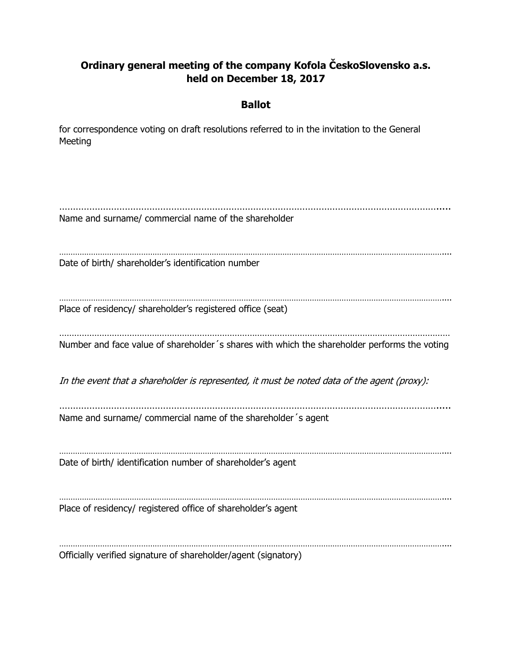## **Ordinary general meeting of the company Kofola ČeskoSlovensko a.s. held on December 18, 2017**

## **Ballot**

for correspondence voting on draft resolutions referred to in the invitation to the General Meeting